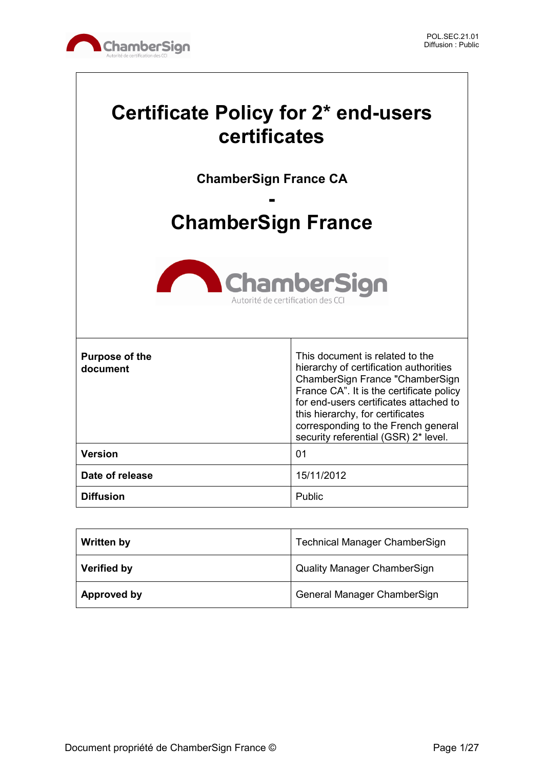

# **Certificate Policy for 2\* end-users certificates**

**ChamberSign France CA**

# **- ChamberSign France**



| <b>Purpose of the</b><br>document | This document is related to the<br>hierarchy of certification authorities<br>ChamberSign France "ChamberSign<br>France CA". It is the certificate policy<br>for end-users certificates attached to<br>this hierarchy, for certificates<br>corresponding to the French general<br>security referential (GSR) 2* level. |
|-----------------------------------|-----------------------------------------------------------------------------------------------------------------------------------------------------------------------------------------------------------------------------------------------------------------------------------------------------------------------|
| <b>Version</b>                    | 01                                                                                                                                                                                                                                                                                                                    |
| Date of release                   | 15/11/2012                                                                                                                                                                                                                                                                                                            |
| <b>Diffusion</b>                  | Public                                                                                                                                                                                                                                                                                                                |

| <b>Written by</b>  | <b>Technical Manager ChamberSign</b> |
|--------------------|--------------------------------------|
| <b>Verified by</b> | <b>Quality Manager ChamberSign</b>   |
| Approved by        | General Manager ChamberSign          |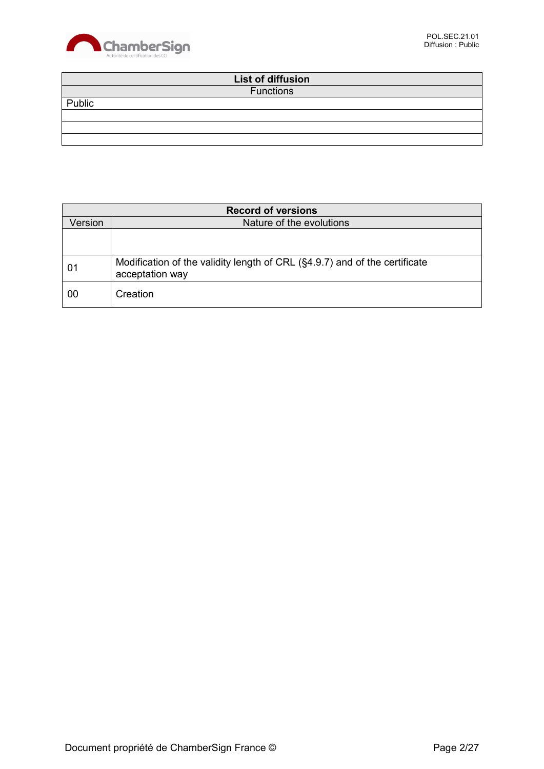

|        | List of diffusion |  |
|--------|-------------------|--|
|        | <b>Functions</b>  |  |
| Public |                   |  |
|        |                   |  |
|        |                   |  |
|        |                   |  |

| <b>Record of versions</b> |                                                                                               |
|---------------------------|-----------------------------------------------------------------------------------------------|
| Version                   | Nature of the evolutions                                                                      |
|                           |                                                                                               |
|                           |                                                                                               |
| 01                        | Modification of the validity length of CRL (§4.9.7) and of the certificate<br>acceptation way |
| 00                        | Creation                                                                                      |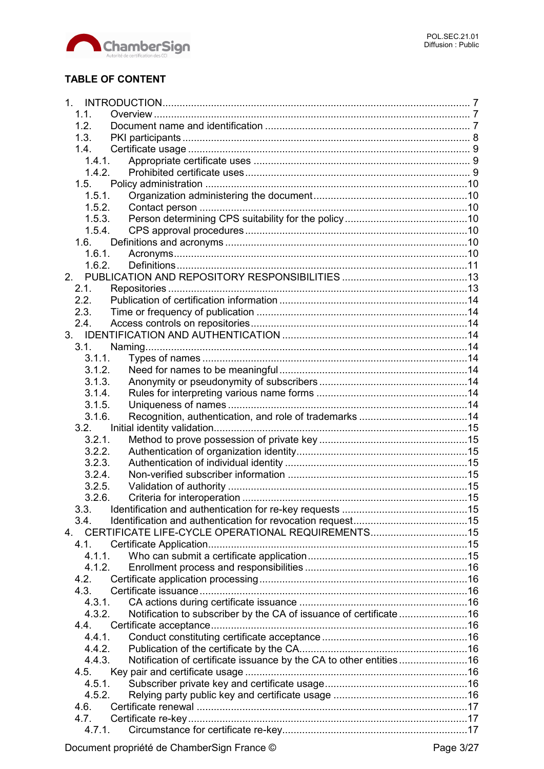

## **TABLE OF CONTENT**

|    | 1.1.   |                                                                     |  |
|----|--------|---------------------------------------------------------------------|--|
|    | 1.2.   |                                                                     |  |
|    | 1.3.   |                                                                     |  |
|    | 1.4.   |                                                                     |  |
|    | 1.4.1. |                                                                     |  |
|    | 1.4.2. |                                                                     |  |
|    | 1.5.   |                                                                     |  |
|    | 1.5.1. |                                                                     |  |
|    | 1.5.2. |                                                                     |  |
|    | 1.5.3. |                                                                     |  |
|    | 1.5.4. |                                                                     |  |
|    | 1.6.   |                                                                     |  |
|    | 1.6.1. |                                                                     |  |
|    | 1.6.2. |                                                                     |  |
| 2. |        |                                                                     |  |
|    | 2.1.   |                                                                     |  |
|    | 2.2.   |                                                                     |  |
|    |        |                                                                     |  |
|    | 2.3.   |                                                                     |  |
|    | 2.4.   |                                                                     |  |
|    |        |                                                                     |  |
|    | 3.1.   |                                                                     |  |
|    | 3.1.1. |                                                                     |  |
|    | 3.1.2. |                                                                     |  |
|    | 3.1.3. |                                                                     |  |
|    | 3.1.4. |                                                                     |  |
|    | 3.1.5. |                                                                     |  |
|    | 3.1.6. |                                                                     |  |
|    | 3.2.   |                                                                     |  |
|    | 3.2.1. |                                                                     |  |
|    | 3.2.2. |                                                                     |  |
|    | 3.2.3. |                                                                     |  |
|    | 3.2.4. |                                                                     |  |
|    | 3.2.5. |                                                                     |  |
|    | 3.2.6. |                                                                     |  |
|    | 3.3.   |                                                                     |  |
|    | 3.4.   |                                                                     |  |
|    | 4      | CERTIFICATE LIFE-CYCLE OPERATIONAL REQUIREMENTS15                   |  |
|    | 4.1.   |                                                                     |  |
|    | 4.1.1. |                                                                     |  |
|    | 4.1.2. |                                                                     |  |
|    | 4.2.   |                                                                     |  |
|    | 4.3.   |                                                                     |  |
|    | 4.3.1. |                                                                     |  |
|    | 4.3.2. | Notification to subscriber by the CA of issuance of certificate 16  |  |
|    | 4.4.   |                                                                     |  |
|    | 4.4.1. |                                                                     |  |
|    | 4.4.2. |                                                                     |  |
|    | 4.4.3. | Notification of certificate issuance by the CA to other entities 16 |  |
|    | 4.5.   |                                                                     |  |
|    | 4.5.1. |                                                                     |  |
|    | 4.5.2. |                                                                     |  |
|    | 4.6.   |                                                                     |  |
|    | 4.7.   |                                                                     |  |
|    | 4.7.1. |                                                                     |  |
|    |        |                                                                     |  |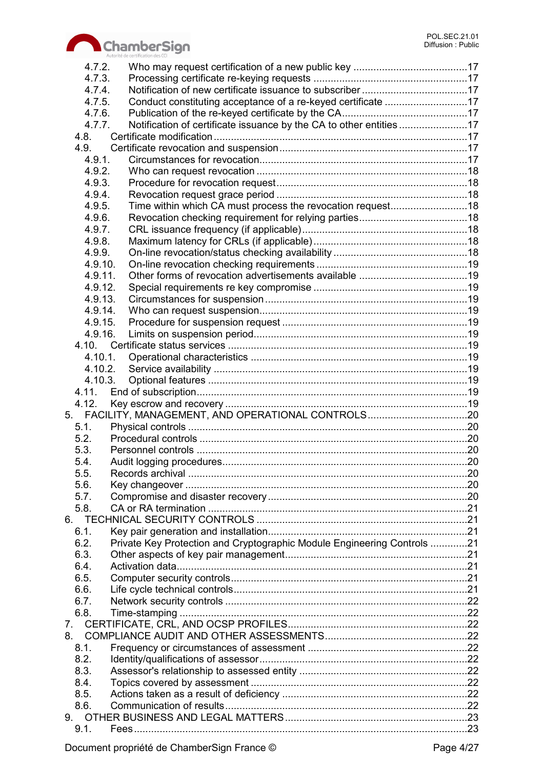

|         | Autorité de certification des CCI                                       |  |
|---------|-------------------------------------------------------------------------|--|
| 4.7.2.  |                                                                         |  |
| 4.7.3.  |                                                                         |  |
| 4.7.4.  |                                                                         |  |
| 4.7.5.  | Conduct constituting acceptance of a re-keyed certificate 17            |  |
| 4.7.6.  |                                                                         |  |
| 4.7.7.  |                                                                         |  |
| 4.8.    |                                                                         |  |
| 4.9.    |                                                                         |  |
| 4.9.1.  |                                                                         |  |
| 4.9.2.  |                                                                         |  |
| 4.9.3.  |                                                                         |  |
| 4.9.4.  |                                                                         |  |
| 4.9.5.  |                                                                         |  |
| 4.9.6.  |                                                                         |  |
| 4.9.7.  |                                                                         |  |
| 4.9.8.  |                                                                         |  |
| 4.9.9.  |                                                                         |  |
| 4.9.10. |                                                                         |  |
| 4.9.11. |                                                                         |  |
| 4.9.12. |                                                                         |  |
| 4.9.13. |                                                                         |  |
| 4.9.14. |                                                                         |  |
| 4.9.15. |                                                                         |  |
| 4.9.16. |                                                                         |  |
|         |                                                                         |  |
|         |                                                                         |  |
| 4.10.1. |                                                                         |  |
| 4.10.2. |                                                                         |  |
| 4.10.3. |                                                                         |  |
| 4.11.   |                                                                         |  |
| 4.12.   |                                                                         |  |
|         | 5. FACILITY, MANAGEMENT, AND OPERATIONAL CONTROLS20                     |  |
| 5.1.    |                                                                         |  |
| 5.2.    |                                                                         |  |
| 5.3.    |                                                                         |  |
| 5.4     |                                                                         |  |
| 5.5.    |                                                                         |  |
| 5.6.    |                                                                         |  |
| 5.7.    |                                                                         |  |
| 5.8.    |                                                                         |  |
|         |                                                                         |  |
| 6.1.    |                                                                         |  |
| 6.2.    | Private Key Protection and Cryptographic Module Engineering Controls 21 |  |
| 6.3.    |                                                                         |  |
| 6.4.    |                                                                         |  |
| 6.5.    |                                                                         |  |
| 6.6.    |                                                                         |  |
| 6.7.    |                                                                         |  |
| 6.8.    |                                                                         |  |
|         |                                                                         |  |
|         |                                                                         |  |
| 8.1.    |                                                                         |  |
| 8.2.    |                                                                         |  |
| 8.3.    |                                                                         |  |
| 8.4.    |                                                                         |  |
| 8.5.    |                                                                         |  |
| 8.6.    |                                                                         |  |
|         |                                                                         |  |
| 9.1.    |                                                                         |  |
|         |                                                                         |  |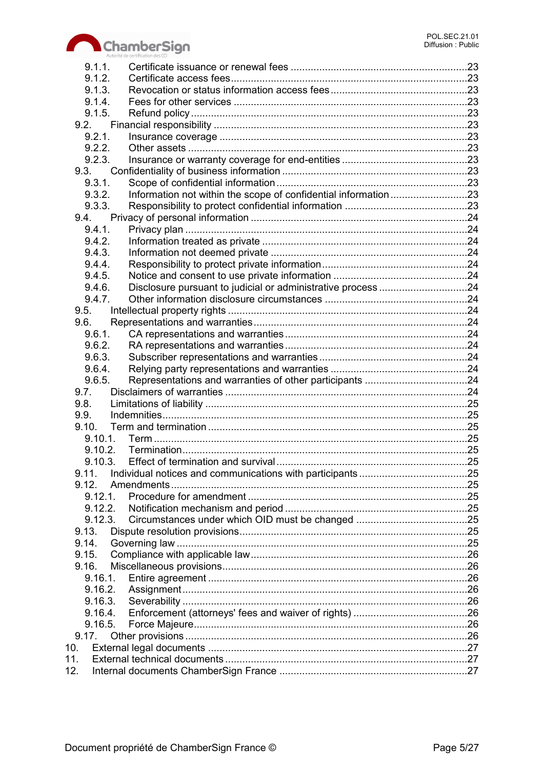

|      | 9.1.1.           |  |
|------|------------------|--|
|      | 9.1.2.           |  |
|      | 9.1.3.           |  |
|      | 9.1.4.           |  |
|      | 9.1.5.           |  |
|      | 9.2.             |  |
|      | 9.2.1.           |  |
|      | 9.2.2.           |  |
|      | 9.2.3.           |  |
|      | 9.3.             |  |
|      | 9.3.1.           |  |
|      | 9.3.2.           |  |
|      | 9.3.3.           |  |
|      | 9.4.             |  |
|      | 9.4.1.           |  |
|      | 9.4.2.           |  |
|      | 9.4.3.           |  |
|      | 9.4.4.           |  |
|      | 9.4.5.           |  |
|      | 9.4.6.           |  |
|      | 9.4.7.           |  |
|      | 9.5.             |  |
|      | 9.6.             |  |
|      | 9.6.1.           |  |
|      | 9.6.2.           |  |
|      | 9.6.3.           |  |
|      | 9.6.4.           |  |
|      | 9.6.5.           |  |
| 9.7. |                  |  |
| 9.8. |                  |  |
| 9.9. |                  |  |
|      | 9.10.            |  |
|      | 9.10.1.          |  |
|      | 9.10.2.          |  |
|      | 9.11.            |  |
|      |                  |  |
|      | 9.12.<br>9.12.1. |  |
|      | 9.12.2.          |  |
|      | 9.12.3.          |  |
|      | 9.13.            |  |
|      | 9.14.            |  |
|      | 9.15.            |  |
|      | 9.16.            |  |
|      |                  |  |
|      |                  |  |
|      | 9.16.3.          |  |
|      | 9.16.4.          |  |
|      | 9.16.5.          |  |
|      | 9.17.            |  |
| 10.  |                  |  |
| 11.  |                  |  |
| 12.  |                  |  |
|      |                  |  |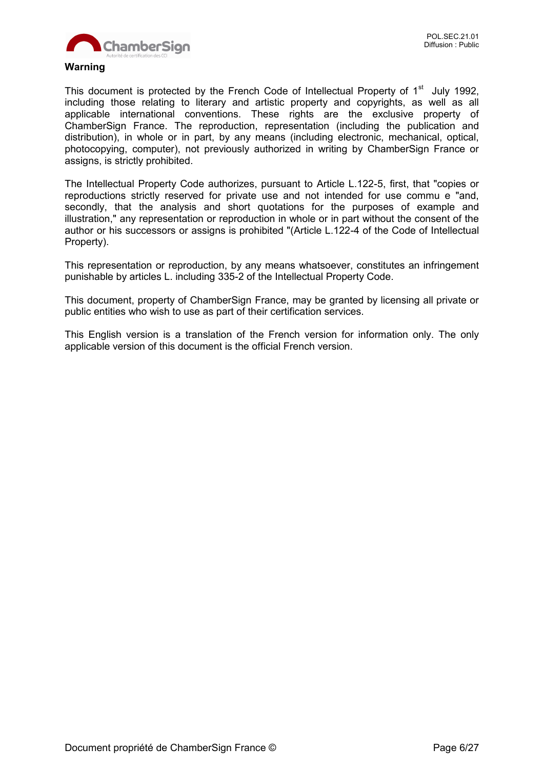

#### **Warning**

This document is protected by the French Code of Intellectual Property of 1<sup>st</sup> July 1992, including those relating to literary and artistic property and copyrights, as well as all applicable international conventions. These rights are the exclusive property of ChamberSign France. The reproduction, representation (including the publication and distribution), in whole or in part, by any means (including electronic, mechanical, optical, photocopying, computer), not previously authorized in writing by ChamberSign France or assigns, is strictly prohibited.

The Intellectual Property Code authorizes, pursuant to Article L.122-5, first, that "copies or reproductions strictly reserved for private use and not intended for use commu e "and, secondly, that the analysis and short quotations for the purposes of example and illustration," any representation or reproduction in whole or in part without the consent of the author or his successors or assigns is prohibited "(Article L.122-4 of the Code of Intellectual Property).

This representation or reproduction, by any means whatsoever, constitutes an infringement punishable by articles L. including 335-2 of the Intellectual Property Code.

This document, property of ChamberSign France, may be granted by licensing all private or public entities who wish to use as part of their certification services.

This English version is a translation of the French version for information only. The only applicable version of this document is the official French version.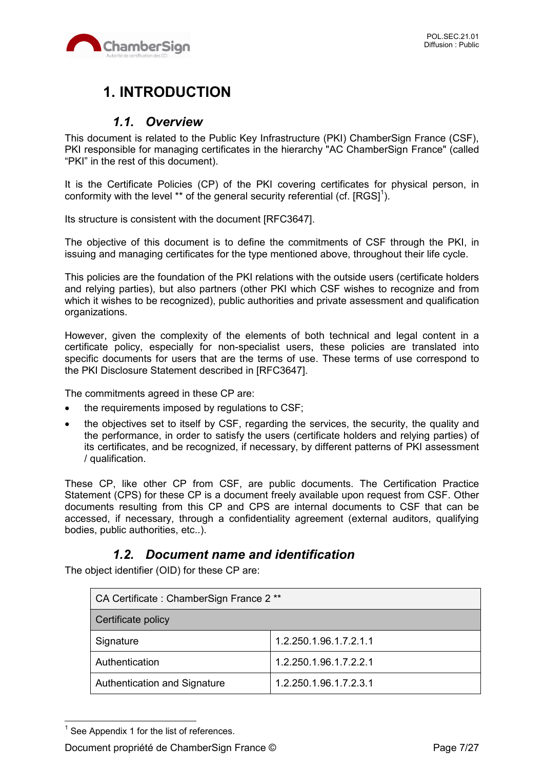

## **1. INTRODUCTION**

## *1.1. Overview*

This document is related to the Public Key Infrastructure (PKI) ChamberSign France (CSF), PKI responsible for managing certificates in the hierarchy "AC ChamberSign France" (called "PKI" in the rest of this document).

It is the Certificate Policies (CP) of the PKI covering certificates for physical person, in conformity with the level \*\* of the general security referential (cf.  $[{\rm RGS]}^{1}$ ).

Its structure is consistent with the document [RFC3647].

The objective of this document is to define the commitments of CSF through the PKI, in issuing and managing certificates for the type mentioned above, throughout their life cycle.

This policies are the foundation of the PKI relations with the outside users (certificate holders and relying parties), but also partners (other PKI which CSF wishes to recognize and from which it wishes to be recognized), public authorities and private assessment and qualification organizations.

However, given the complexity of the elements of both technical and legal content in a certificate policy, especially for non-specialist users, these policies are translated into specific documents for users that are the terms of use. These terms of use correspond to the PKI Disclosure Statement described in [RFC3647].

The commitments agreed in these CP are:

- the requirements imposed by regulations to CSF;
- the objectives set to itself by CSF, regarding the services, the security, the quality and the performance, in order to satisfy the users (certificate holders and relying parties) of its certificates, and be recognized, if necessary, by different patterns of PKI assessment / qualification.

These CP, like other CP from CSF, are public documents. The Certification Practice Statement (CPS) for these CP is a document freely available upon request from CSF. Other documents resulting from this CP and CPS are internal documents to CSF that can be accessed, if necessary, through a confidentiality agreement (external auditors, qualifying bodies, public authorities, etc..).

## *1.2. Document name and identification*

The object identifier (OID) for these CP are:

| CA Certificate: ChamberSign France 2 ** |                        |  |
|-----------------------------------------|------------------------|--|
| Certificate policy                      |                        |  |
| Signature                               | 1.2.250.1.96.1.7.2.1.1 |  |
| Authentication                          | 1.2.250.1.96.1.7.2.2.1 |  |
| Authentication and Signature            | 1.2.250.1.96.1.7.2.3.1 |  |

 $<sup>1</sup>$  See Appendix 1 for the list of references.</sup>

 $\overline{a}$ 

Document propriété de ChamberSign France © Page 7/27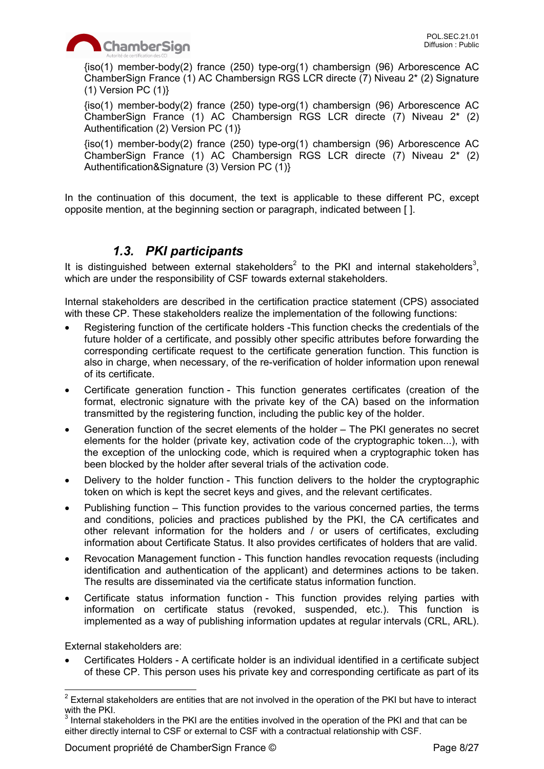

{iso(1) member-body(2) france (250) type-org(1) chambersign (96) Arborescence AC ChamberSign France (1) AC Chambersign RGS LCR directe (7) Niveau 2\* (2) Signature  $(1)$  Version PC  $(1)$ }

{iso(1) member-body(2) france (250) type-org(1) chambersign (96) Arborescence AC ChamberSign France (1) AC Chambersign RGS LCR directe (7) Niveau 2\* (2) Authentification (2) Version PC (1)}

{iso(1) member-body(2) france (250) type-org(1) chambersign (96) Arborescence AC ChamberSign France (1) AC Chambersign RGS LCR directe (7) Niveau 2\* (2) Authentification&Signature (3) Version PC (1)}

In the continuation of this document, the text is applicable to these different PC, except opposite mention, at the beginning section or paragraph, indicated between [ ].

## *1.3. PKI participants*

It is distinguished between external stakeholders<sup>2</sup> to the PKI and internal stakeholders<sup>3</sup>, which are under the responsibility of CSF towards external stakeholders.

Internal stakeholders are described in the certification practice statement (CPS) associated with these CP. These stakeholders realize the implementation of the following functions:

- Registering function of the certificate holders -This function checks the credentials of the future holder of a certificate, and possibly other specific attributes before forwarding the corresponding certificate request to the certificate generation function. This function is also in charge, when necessary, of the re-verification of holder information upon renewal of its certificate.
- Certificate generation function This function generates certificates (creation of the format, electronic signature with the private key of the CA) based on the information transmitted by the registering function, including the public key of the holder.
- Generation function of the secret elements of the holder The PKI generates no secret elements for the holder (private key, activation code of the cryptographic token...), with the exception of the unlocking code, which is required when a cryptographic token has been blocked by the holder after several trials of the activation code.
- Delivery to the holder function This function delivers to the holder the cryptographic token on which is kept the secret keys and gives, and the relevant certificates.
- Publishing function This function provides to the various concerned parties, the terms and conditions, policies and practices published by the PKI, the CA certificates and other relevant information for the holders and / or users of certificates, excluding information about Certificate Status. It also provides certificates of holders that are valid.
- Revocation Management function This function handles revocation requests (including identification and authentication of the applicant) and determines actions to be taken. The results are disseminated via the certificate status information function.
- Certificate status information function This function provides relying parties with information on certificate status (revoked, suspended, etc.). This function is implemented as a way of publishing information updates at regular intervals (CRL, ARL).

External stakeholders are:

 Certificates Holders - A certificate holder is an individual identified in a certificate subject of these CP. This person uses his private key and corresponding certificate as part of its

<sup>&</sup>lt;u>2</u><br><sup>2</sup> External stakeholders are entities that are not involved in the operation of the PKI but have to interact with the PKI.

 $3$  Internal stakeholders in the PKI are the entities involved in the operation of the PKI and that can be either directly internal to CSF or external to CSF with a contractual relationship with CSF.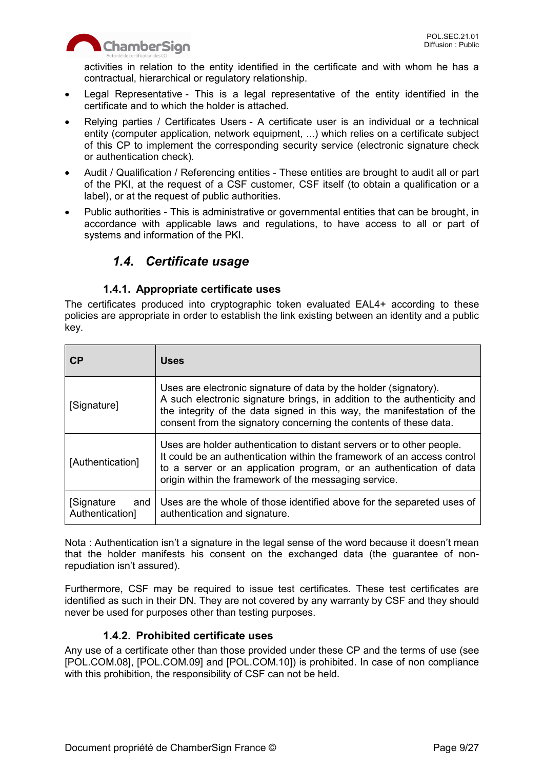

activities in relation to the entity identified in the certificate and with whom he has a contractual, hierarchical or regulatory relationship.

- Legal Representative This is a legal representative of the entity identified in the certificate and to which the holder is attached.
- Relying parties / Certificates Users A certificate user is an individual or a technical entity (computer application, network equipment, ...) which relies on a certificate subject of this CP to implement the corresponding security service (electronic signature check or authentication check).
- Audit / Qualification / Referencing entities These entities are brought to audit all or part of the PKI, at the request of a CSF customer, CSF itself (to obtain a qualification or a label), or at the request of public authorities.
- Public authorities This is administrative or governmental entities that can be brought, in accordance with applicable laws and regulations, to have access to all or part of systems and information of the PKI.

## *1.4. Certificate usage*

#### **1.4.1. Appropriate certificate uses**

The certificates produced into cryptographic token evaluated EAL4+ according to these policies are appropriate in order to establish the link existing between an identity and a public key.

| <b>CP</b>                             | <b>Uses</b>                                                                                                                                                                                                                                                                                |
|---------------------------------------|--------------------------------------------------------------------------------------------------------------------------------------------------------------------------------------------------------------------------------------------------------------------------------------------|
| [Signature]                           | Uses are electronic signature of data by the holder (signatory).<br>A such electronic signature brings, in addition to the authenticity and<br>the integrity of the data signed in this way, the manifestation of the<br>consent from the signatory concerning the contents of these data. |
| [Authentication]                      | Uses are holder authentication to distant servers or to other people.<br>It could be an authentication within the framework of an access control<br>to a server or an application program, or an authentication of data<br>origin within the framework of the messaging service.           |
| [Signature]<br>and<br>Authentication] | Uses are the whole of those identified above for the separeted uses of<br>authentication and signature.                                                                                                                                                                                    |

Nota : Authentication isn't a signature in the legal sense of the word because it doesn't mean that the holder manifests his consent on the exchanged data (the guarantee of nonrepudiation isn't assured).

Furthermore, CSF may be required to issue test certificates. These test certificates are identified as such in their DN. They are not covered by any warranty by CSF and they should never be used for purposes other than testing purposes.

#### **1.4.2. Prohibited certificate uses**

Any use of a certificate other than those provided under these CP and the terms of use (see [POL.COM.08], [POL.COM.09] and [POL.COM.10]) is prohibited. In case of non compliance with this prohibition, the responsibility of CSF can not be held.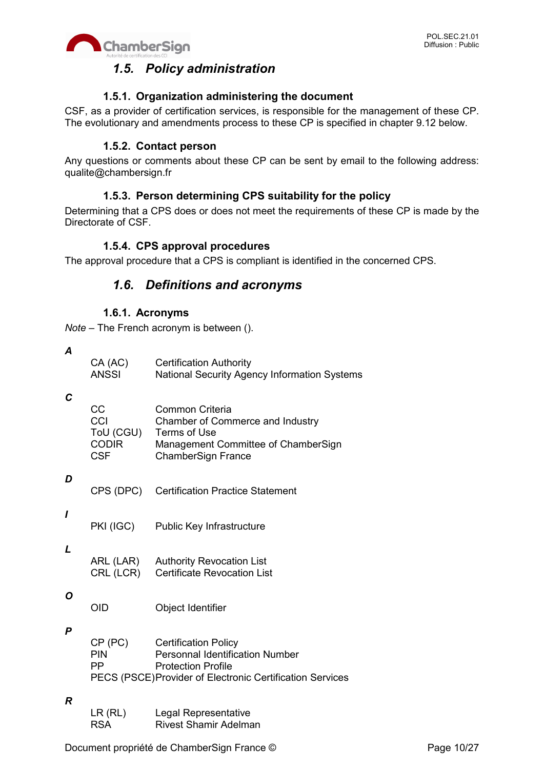

## *1.5. Policy administration*

#### **1.5.1. Organization administering the document**

CSF, as a provider of certification services, is responsible for the management of these CP. The evolutionary and amendments process to these CP is specified in chapter 9.12 below.

#### **1.5.2. Contact person**

Any questions or comments about these CP can be sent by email to the following address: qualite@chambersign.fr

## **1.5.3. Person determining CPS suitability for the policy**

Determining that a CPS does or does not meet the requirements of these CP is made by the Directorate of CSF.

#### **1.5.4. CPS approval procedures**

The approval procedure that a CPS is compliant is identified in the concerned CPS.

## *1.6. Definitions and acronyms*

#### **1.6.1. Acronyms**

*Note* – The French acronym is between ().

*A*

| CA (AC) | <b>Certification Authority</b>               |
|---------|----------------------------------------------|
| ANSSI   | National Security Agency Information Systems |

#### *C*

| CC           | Common Criteria                     |
|--------------|-------------------------------------|
| CCI          | Chamber of Commerce and Industry    |
| ToU (CGU)    | Terms of Use                        |
| <b>CODIR</b> | Management Committee of ChamberSign |
| CSF          | <b>ChamberSign France</b>           |
|              |                                     |

#### *D*

| CPS (DPC) Certification Practice Statement |  |
|--------------------------------------------|--|
|                                            |  |

PKI (IGC) Public Key Infrastructure

#### *L*

*I*

| ARL (LAR) | <b>Authority Revocation List</b>   |
|-----------|------------------------------------|
| CRL (LCR) | <b>Certificate Revocation List</b> |

#### *O*

OID Object Identifier

#### *P*

| CP (PC)                                                   | <b>Certification Policy</b>     |
|-----------------------------------------------------------|---------------------------------|
| <b>PIN</b>                                                | Personnal Identification Number |
| - PP                                                      | <b>Protection Profile</b>       |
| PECS (PSCE) Provider of Electronic Certification Services |                                 |

#### *R*

| LR(RL)     | Legal Representative         |
|------------|------------------------------|
| <b>RSA</b> | <b>Rivest Shamir Adelman</b> |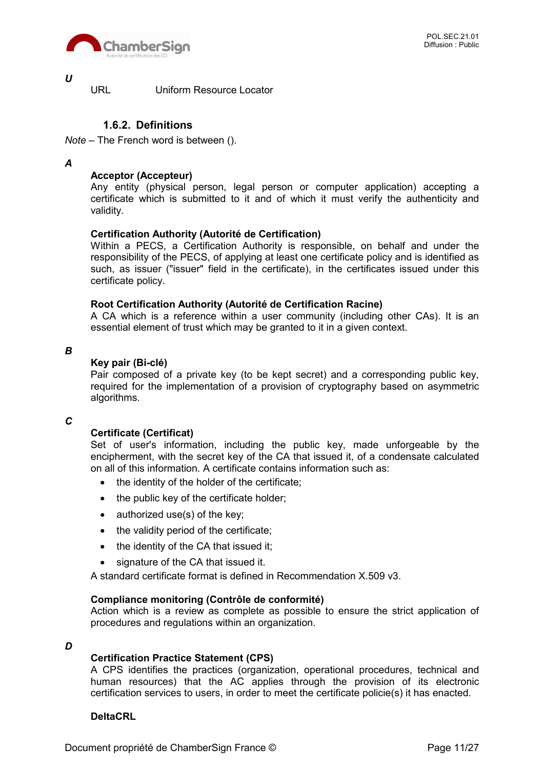

*U*

URL Uniform Resource Locator

#### **1.6.2. Definitions**

*Note* – The French word is between ().

#### *A*

#### **Acceptor (Accepteur)**

Any entity (physical person, legal person or computer application) accepting a certificate which is submitted to it and of which it must verify the authenticity and validity.

#### **Certification Authority (Autorité de Certification)**

Within a PECS, a Certification Authority is responsible, on behalf and under the responsibility of the PECS, of applying at least one certificate policy and is identified as such, as issuer ("issuer" field in the certificate), in the certificates issued under this certificate policy.

#### **Root Certification Authority (Autorité de Certification Racine)**

A CA which is a reference within a user community (including other CAs). It is an essential element of trust which may be granted to it in a given context.

*B*

#### **Key pair (Bi-clé)**

Pair composed of a private key (to be kept secret) and a corresponding public key, required for the implementation of a provision of cryptography based on asymmetric algorithms.

#### *C*

#### **Certificate (Certificat)**

Set of user's information, including the public key, made unforgeable by the encipherment, with the secret key of the CA that issued it, of a condensate calculated on all of this information. A certificate contains information such as:

- the identity of the holder of the certificate;
- the public key of the certificate holder;
- $\bullet$  authorized use(s) of the key;
- the validity period of the certificate;
- the identity of the CA that issued it;
- signature of the CA that issued it.

A standard certificate format is defined in Recommendation X.509 v3.

#### **Compliance monitoring (Contrôle de conformité)**

Action which is a review as complete as possible to ensure the strict application of procedures and regulations within an organization.

#### *D*

#### **Certification Practice Statement (CPS)**

A CPS identifies the practices (organization, operational procedures, technical and human resources) that the AC applies through the provision of its electronic certification services to users, in order to meet the certificate policie(s) it has enacted.

#### **DeltaCRL**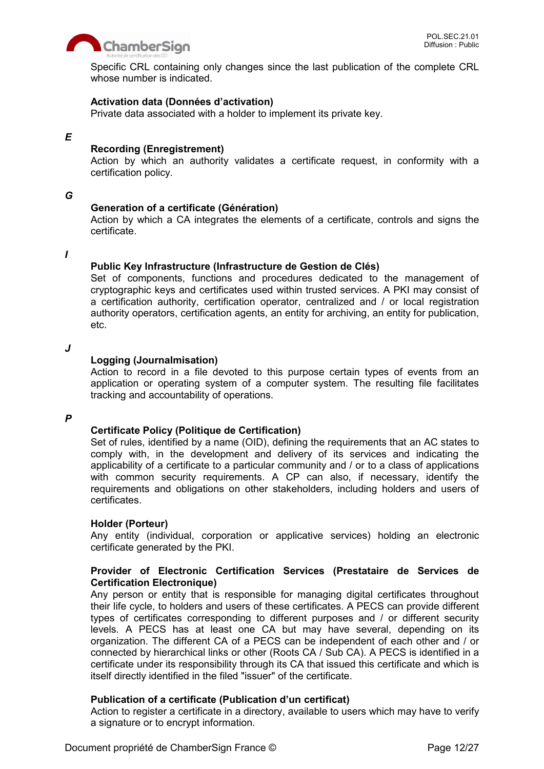

Specific CRL containing only changes since the last publication of the complete CRL whose number is indicated.

#### **Activation data (Données d'activation)**

Private data associated with a holder to implement its private key.

#### *E*

#### **Recording (Enregistrement)**

Action by which an authority validates a certificate request, in conformity with a certification policy.

#### *G*

#### **Generation of a certificate (Génération)**

Action by which a CA integrates the elements of a certificate, controls and signs the certificate.

#### *I*

#### **Public Key Infrastructure (Infrastructure de Gestion de Clés)**

Set of components, functions and procedures dedicated to the management of cryptographic keys and certificates used within trusted services. A PKI may consist of a certification authority, certification operator, centralized and / or local registration authority operators, certification agents, an entity for archiving, an entity for publication, etc.

#### *J*

#### **Logging (Journalmisation)**

Action to record in a file devoted to this purpose certain types of events from an application or operating system of a computer system. The resulting file facilitates tracking and accountability of operations.

#### *P*

#### **Certificate Policy (Politique de Certification)**

Set of rules, identified by a name (OID), defining the requirements that an AC states to comply with, in the development and delivery of its services and indicating the applicability of a certificate to a particular community and / or to a class of applications with common security requirements. A CP can also, if necessary, identify the requirements and obligations on other stakeholders, including holders and users of certificates.

#### **Holder (Porteur)**

Any entity (individual, corporation or applicative services) holding an electronic certificate generated by the PKI.

#### **Provider of Electronic Certification Services (Prestataire de Services de Certification Electronique)**

Any person or entity that is responsible for managing digital certificates throughout their life cycle, to holders and users of these certificates. A PECS can provide different types of certificates corresponding to different purposes and / or different security levels. A PECS has at least one CA but may have several, depending on its organization. The different CA of a PECS can be independent of each other and / or connected by hierarchical links or other (Roots CA / Sub CA). A PECS is identified in a certificate under its responsibility through its CA that issued this certificate and which is itself directly identified in the filed "issuer" of the certificate.

#### **Publication of a certificate (Publication d'un certificat)**

Action to register a certificate in a directory, available to users which may have to verify a signature or to encrypt information.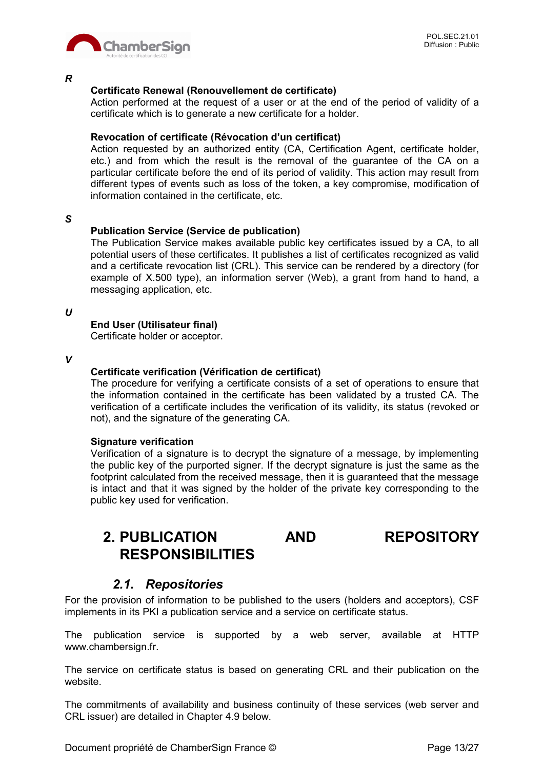

*R*

#### **Certificate Renewal (Renouvellement de certificate)**

Action performed at the request of a user or at the end of the period of validity of a certificate which is to generate a new certificate for a holder.

#### **Revocation of certificate (Révocation d'un certificat)**

Action requested by an authorized entity (CA, Certification Agent, certificate holder, etc.) and from which the result is the removal of the guarantee of the CA on a particular certificate before the end of its period of validity. This action may result from different types of events such as loss of the token, a key compromise, modification of information contained in the certificate, etc.

*S*

#### **Publication Service (Service de publication)**

The Publication Service makes available public key certificates issued by a CA, to all potential users of these certificates. It publishes a list of certificates recognized as valid and a certificate revocation list (CRL). This service can be rendered by a directory (for example of X.500 type), an information server (Web), a grant from hand to hand, a messaging application, etc.

*U*

#### **End User (Utilisateur final)**

Certificate holder or acceptor.

*V*

#### **Certificate verification (Vérification de certificat)**

The procedure for verifying a certificate consists of a set of operations to ensure that the information contained in the certificate has been validated by a trusted CA. The verification of a certificate includes the verification of its validity, its status (revoked or not), and the signature of the generating CA.

#### **Signature verification**

Verification of a signature is to decrypt the signature of a message, by implementing the public key of the purported signer. If the decrypt signature is just the same as the footprint calculated from the received message, then it is guaranteed that the message is intact and that it was signed by the holder of the private key corresponding to the public key used for verification.

## **2. PUBLICATION AND REPOSITORY RESPONSIBILITIES**

#### *2.1. Repositories*

For the provision of information to be published to the users (holders and acceptors), CSF implements in its PKI a publication service and a service on certificate status.

The publication service is supported by a web server, available at HTTP www.chambersign.fr.

The service on certificate status is based on generating CRL and their publication on the website.

The commitments of availability and business continuity of these services (web server and CRL issuer) are detailed in Chapter 4.9 below.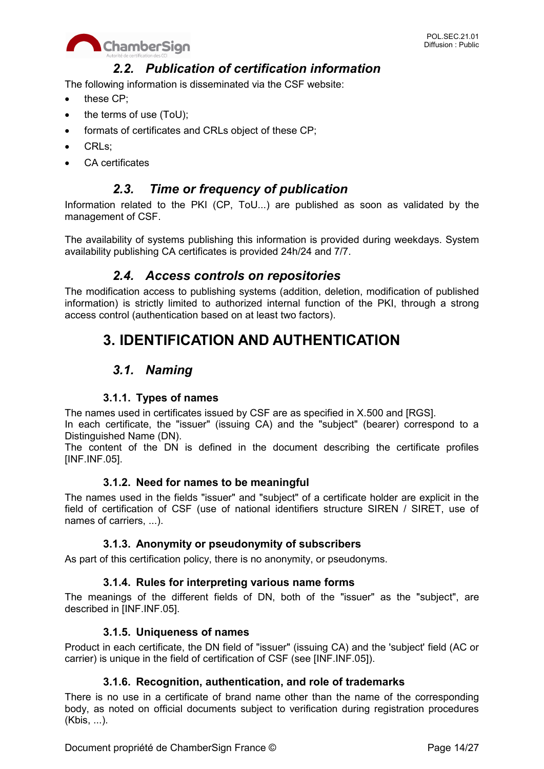

## *2.2. Publication of certification information*

The following information is disseminated via the CSF website:

- these CP:
- the terms of use (ToU);
- formats of certificates and CRLs object of these CP;
- CRLs:
- CA certificates

## *2.3. Time or frequency of publication*

Information related to the PKI (CP, ToU...) are published as soon as validated by the management of CSF.

The availability of systems publishing this information is provided during weekdays. System availability publishing CA certificates is provided 24h/24 and 7/7.

## *2.4. Access controls on repositories*

The modification access to publishing systems (addition, deletion, modification of published information) is strictly limited to authorized internal function of the PKI, through a strong access control (authentication based on at least two factors).

## **3. IDENTIFICATION AND AUTHENTICATION**

## *3.1. Naming*

#### **3.1.1. Types of names**

The names used in certificates issued by CSF are as specified in X.500 and [RGS].

In each certificate, the "issuer" (issuing CA) and the "subject" (bearer) correspond to a Distinguished Name (DN).

The content of the DN is defined in the document describing the certificate profiles [INF.INF.05].

#### **3.1.2. Need for names to be meaningful**

The names used in the fields "issuer" and "subject" of a certificate holder are explicit in the field of certification of CSF (use of national identifiers structure SIREN / SIRET, use of names of carriers, ...).

#### **3.1.3. Anonymity or pseudonymity of subscribers**

As part of this certification policy, there is no anonymity, or pseudonyms.

#### **3.1.4. Rules for interpreting various name forms**

The meanings of the different fields of DN, both of the "issuer" as the "subject", are described in [INF.INF.05].

#### **3.1.5. Uniqueness of names**

Product in each certificate, the DN field of "issuer" (issuing CA) and the 'subject' field (AC or carrier) is unique in the field of certification of CSF (see [INF.INF.05]).

#### **3.1.6. Recognition, authentication, and role of trademarks**

There is no use in a certificate of brand name other than the name of the corresponding body, as noted on official documents subject to verification during registration procedures (Kbis, ...).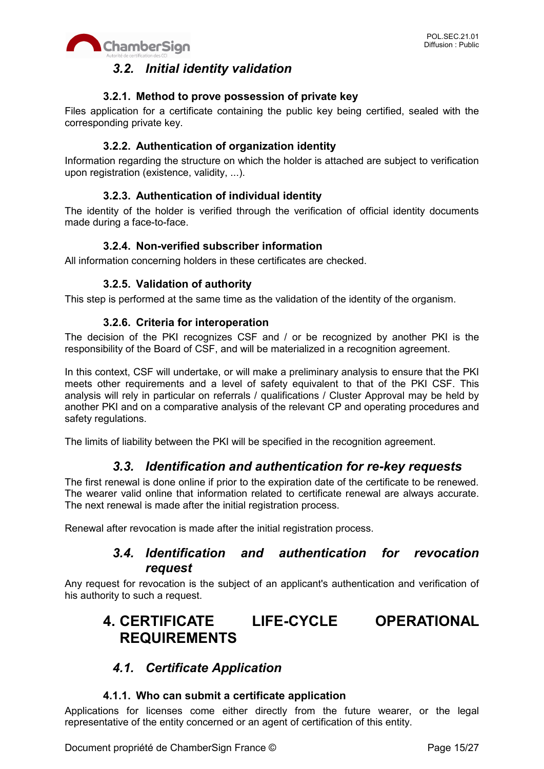

## *3.2. Initial identity validation*

#### **3.2.1. Method to prove possession of private key**

Files application for a certificate containing the public key being certified, sealed with the corresponding private key.

#### **3.2.2. Authentication of organization identity**

Information regarding the structure on which the holder is attached are subject to verification upon registration (existence, validity, ...).

#### **3.2.3. Authentication of individual identity**

The identity of the holder is verified through the verification of official identity documents made during a face-to-face.

#### **3.2.4. Non-verified subscriber information**

All information concerning holders in these certificates are checked.

#### **3.2.5. Validation of authority**

This step is performed at the same time as the validation of the identity of the organism.

#### **3.2.6. Criteria for interoperation**

The decision of the PKI recognizes CSF and / or be recognized by another PKI is the responsibility of the Board of CSF, and will be materialized in a recognition agreement.

In this context, CSF will undertake, or will make a preliminary analysis to ensure that the PKI meets other requirements and a level of safety equivalent to that of the PKI CSF. This analysis will rely in particular on referrals / qualifications / Cluster Approval may be held by another PKI and on a comparative analysis of the relevant CP and operating procedures and safety regulations.

The limits of liability between the PKI will be specified in the recognition agreement.

## *3.3. Identification and authentication for re-key requests*

The first renewal is done online if prior to the expiration date of the certificate to be renewed. The wearer valid online that information related to certificate renewal are always accurate. The next renewal is made after the initial registration process.

Renewal after revocation is made after the initial registration process.

## *3.4. Identification and authentication for revocation request*

Any request for revocation is the subject of an applicant's authentication and verification of his authority to such a request.

## **4. CERTIFICATE LIFE-CYCLE OPERATIONAL REQUIREMENTS**

## *4.1. Certificate Application*

#### **4.1.1. Who can submit a certificate application**

Applications for licenses come either directly from the future wearer, or the legal representative of the entity concerned or an agent of certification of this entity.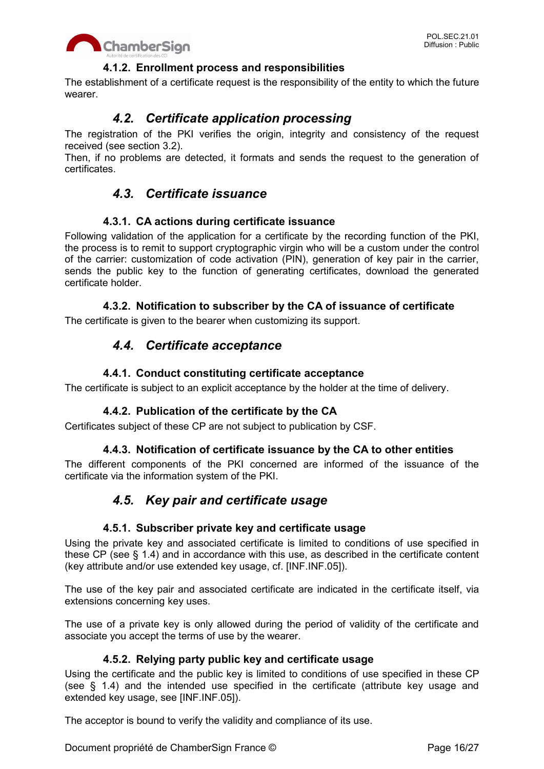

#### **4.1.2. Enrollment process and responsibilities**

The establishment of a certificate request is the responsibility of the entity to which the future wearer.

## *4.2. Certificate application processing*

The registration of the PKI verifies the origin, integrity and consistency of the request received (see section 3.2).

Then, if no problems are detected, it formats and sends the request to the generation of certificates.

## *4.3. Certificate issuance*

#### **4.3.1. CA actions during certificate issuance**

Following validation of the application for a certificate by the recording function of the PKI, the process is to remit to support cryptographic virgin who will be a custom under the control of the carrier: customization of code activation (PIN), generation of key pair in the carrier, sends the public key to the function of generating certificates, download the generated certificate holder.

#### **4.3.2. Notification to subscriber by the CA of issuance of certificate**

The certificate is given to the bearer when customizing its support.

## *4.4. Certificate acceptance*

#### **4.4.1. Conduct constituting certificate acceptance**

The certificate is subject to an explicit acceptance by the holder at the time of delivery.

#### **4.4.2. Publication of the certificate by the CA**

Certificates subject of these CP are not subject to publication by CSF.

#### **4.4.3. Notification of certificate issuance by the CA to other entities**

The different components of the PKI concerned are informed of the issuance of the certificate via the information system of the PKI.

## *4.5. Key pair and certificate usage*

#### **4.5.1. Subscriber private key and certificate usage**

Using the private key and associated certificate is limited to conditions of use specified in these CP (see § 1.4) and in accordance with this use, as described in the certificate content (key attribute and/or use extended key usage, cf. [INF.INF.05]).

The use of the key pair and associated certificate are indicated in the certificate itself, via extensions concerning key uses.

The use of a private key is only allowed during the period of validity of the certificate and associate you accept the terms of use by the wearer.

#### **4.5.2. Relying party public key and certificate usage**

Using the certificate and the public key is limited to conditions of use specified in these CP (see § 1.4) and the intended use specified in the certificate (attribute key usage and extended key usage, see [INF.INF.05]).

The acceptor is bound to verify the validity and compliance of its use.

Document propriété de ChamberSign France © Page 16/27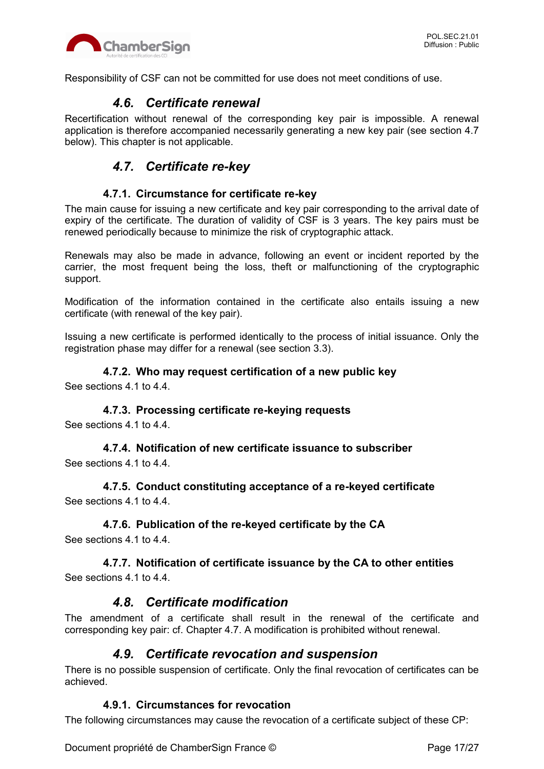

Responsibility of CSF can not be committed for use does not meet conditions of use.

## *4.6. Certificate renewal*

Recertification without renewal of the corresponding key pair is impossible. A renewal application is therefore accompanied necessarily generating a new key pair (see section 4.7 below). This chapter is not applicable.

## *4.7. Certificate re-key*

#### **4.7.1. Circumstance for certificate re-key**

The main cause for issuing a new certificate and key pair corresponding to the arrival date of expiry of the certificate. The duration of validity of CSF is 3 years. The key pairs must be renewed periodically because to minimize the risk of cryptographic attack.

Renewals may also be made in advance, following an event or incident reported by the carrier, the most frequent being the loss, theft or malfunctioning of the cryptographic support.

Modification of the information contained in the certificate also entails issuing a new certificate (with renewal of the key pair).

Issuing a new certificate is performed identically to the process of initial issuance. Only the registration phase may differ for a renewal (see section 3.3).

#### **4.7.2. Who may request certification of a new public key**

See sections 4.1 to 4.4.

#### **4.7.3. Processing certificate re-keying requests**

See sections 4.1 to 4.4.

#### **4.7.4. Notification of new certificate issuance to subscriber**

See sections 4.1 to 4.4.

**4.7.5. Conduct constituting acceptance of a re-keyed certificate** See sections 4.1 to 4.4.

#### **4.7.6. Publication of the re-keyed certificate by the CA**

See sections 4.1 to 4.4.

#### **4.7.7. Notification of certificate issuance by the CA to other entities** See sections 4.1 to 4.4.

## *4.8. Certificate modification*

The amendment of a certificate shall result in the renewal of the certificate and corresponding key pair: cf. Chapter 4.7. A modification is prohibited without renewal.

#### *4.9. Certificate revocation and suspension*

There is no possible suspension of certificate. Only the final revocation of certificates can be achieved.

#### **4.9.1. Circumstances for revocation**

The following circumstances may cause the revocation of a certificate subject of these CP: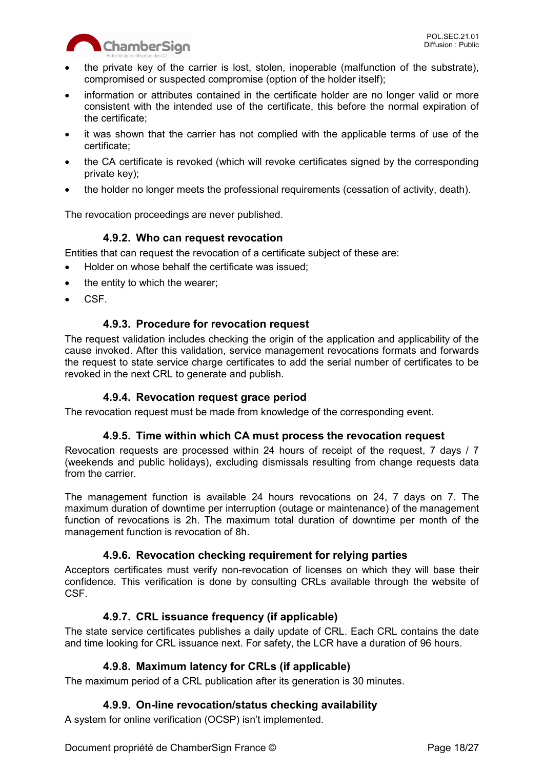

- the private key of the carrier is lost, stolen, inoperable (malfunction of the substrate), compromised or suspected compromise (option of the holder itself);
- information or attributes contained in the certificate holder are no longer valid or more consistent with the intended use of the certificate, this before the normal expiration of the certificate;
- it was shown that the carrier has not complied with the applicable terms of use of the certificate;
- the CA certificate is revoked (which will revoke certificates signed by the corresponding private key);
- the holder no longer meets the professional requirements (cessation of activity, death).

The revocation proceedings are never published.

#### **4.9.2. Who can request revocation**

Entities that can request the revocation of a certificate subject of these are:

- Holder on whose behalf the certificate was issued;
- $\bullet$  the entity to which the wearer;
- CSF.

#### **4.9.3. Procedure for revocation request**

The request validation includes checking the origin of the application and applicability of the cause invoked. After this validation, service management revocations formats and forwards the request to state service charge certificates to add the serial number of certificates to be revoked in the next CRL to generate and publish.

#### **4.9.4. Revocation request grace period**

The revocation request must be made from knowledge of the corresponding event.

#### **4.9.5. Time within which CA must process the revocation request**

Revocation requests are processed within 24 hours of receipt of the request, 7 days / 7 (weekends and public holidays), excluding dismissals resulting from change requests data from the carrier.

The management function is available 24 hours revocations on 24, 7 days on 7. The maximum duration of downtime per interruption (outage or maintenance) of the management function of revocations is 2h. The maximum total duration of downtime per month of the management function is revocation of 8h.

#### **4.9.6. Revocation checking requirement for relying parties**

Acceptors certificates must verify non-revocation of licenses on which they will base their confidence. This verification is done by consulting CRLs available through the website of CSF.

#### **4.9.7. CRL issuance frequency (if applicable)**

The state service certificates publishes a daily update of CRL. Each CRL contains the date and time looking for CRL issuance next. For safety, the LCR have a duration of 96 hours.

#### **4.9.8. Maximum latency for CRLs (if applicable)**

The maximum period of a CRL publication after its generation is 30 minutes.

#### **4.9.9. On-line revocation/status checking availability**

A system for online verification (OCSP) isn't implemented.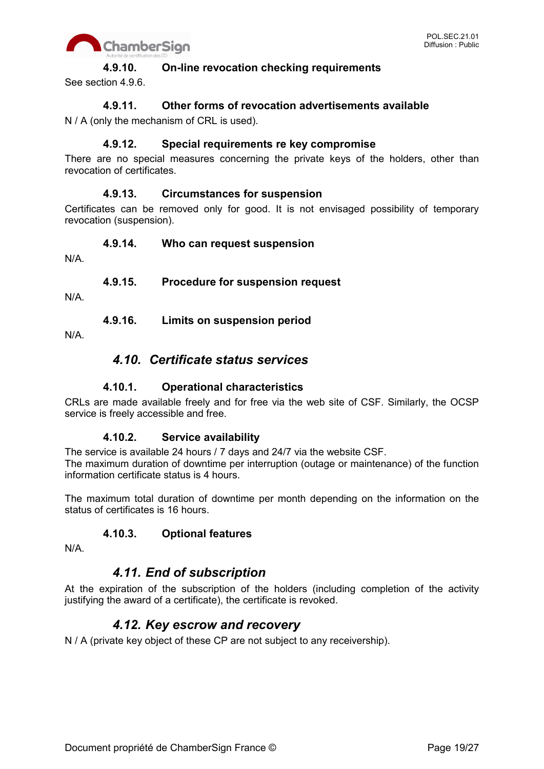

#### **4.9.10. On-line revocation checking requirements**

See section 4.9.6.

#### **4.9.11. Other forms of revocation advertisements available**

N / A (only the mechanism of CRL is used).

#### **4.9.12. Special requirements re key compromise**

There are no special measures concerning the private keys of the holders, other than revocation of certificates.

#### **4.9.13. Circumstances for suspension**

Certificates can be removed only for good. It is not envisaged possibility of temporary revocation (suspension).

#### **4.9.14. Who can request suspension**

N/A.

#### **4.9.15. Procedure for suspension request**

N/A.

**4.9.16. Limits on suspension period**

N/A.

## *4.10. Certificate status services*

#### **4.10.1. Operational characteristics**

CRLs are made available freely and for free via the web site of CSF. Similarly, the OCSP service is freely accessible and free.

#### **4.10.2. Service availability**

The service is available 24 hours / 7 days and 24/7 via the website CSF. The maximum duration of downtime per interruption (outage or maintenance) of the function information certificate status is 4 hours.

The maximum total duration of downtime per month depending on the information on the status of certificates is 16 hours.

#### **4.10.3. Optional features**

N/A.

## *4.11. End of subscription*

At the expiration of the subscription of the holders (including completion of the activity justifying the award of a certificate), the certificate is revoked.

## *4.12. Key escrow and recovery*

N / A (private key object of these CP are not subject to any receivership).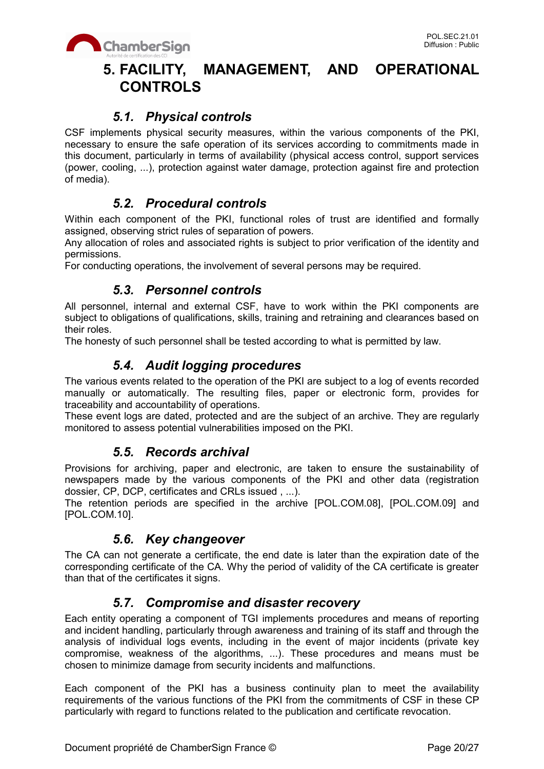

## **5. FACILITY, MANAGEMENT, AND OPERATIONAL CONTROLS**

## *5.1. Physical controls*

CSF implements physical security measures, within the various components of the PKI, necessary to ensure the safe operation of its services according to commitments made in this document, particularly in terms of availability (physical access control, support services (power, cooling, ...), protection against water damage, protection against fire and protection of media).

## *5.2. Procedural controls*

Within each component of the PKI, functional roles of trust are identified and formally assigned, observing strict rules of separation of powers.

Any allocation of roles and associated rights is subject to prior verification of the identity and permissions.

For conducting operations, the involvement of several persons may be required.

## *5.3. Personnel controls*

All personnel, internal and external CSF, have to work within the PKI components are subject to obligations of qualifications, skills, training and retraining and clearances based on their roles.

The honesty of such personnel shall be tested according to what is permitted by law.

## *5.4. Audit logging procedures*

The various events related to the operation of the PKI are subject to a log of events recorded manually or automatically. The resulting files, paper or electronic form, provides for traceability and accountability of operations.

These event logs are dated, protected and are the subject of an archive. They are regularly monitored to assess potential vulnerabilities imposed on the PKI.

## *5.5. Records archival*

Provisions for archiving, paper and electronic, are taken to ensure the sustainability of newspapers made by the various components of the PKI and other data (registration dossier, CP, DCP, certificates and CRLs issued , ...).

The retention periods are specified in the archive [POL.COM.08], [POL.COM.09] and [POL.COM.10].

## *5.6. Key changeover*

The CA can not generate a certificate, the end date is later than the expiration date of the corresponding certificate of the CA. Why the period of validity of the CA certificate is greater than that of the certificates it signs.

## *5.7. Compromise and disaster recovery*

Each entity operating a component of TGI implements procedures and means of reporting and incident handling, particularly through awareness and training of its staff and through the analysis of individual logs events, including in the event of major incidents (private key compromise, weakness of the algorithms, ...). These procedures and means must be chosen to minimize damage from security incidents and malfunctions.

Each component of the PKI has a business continuity plan to meet the availability requirements of the various functions of the PKI from the commitments of CSF in these CP particularly with regard to functions related to the publication and certificate revocation.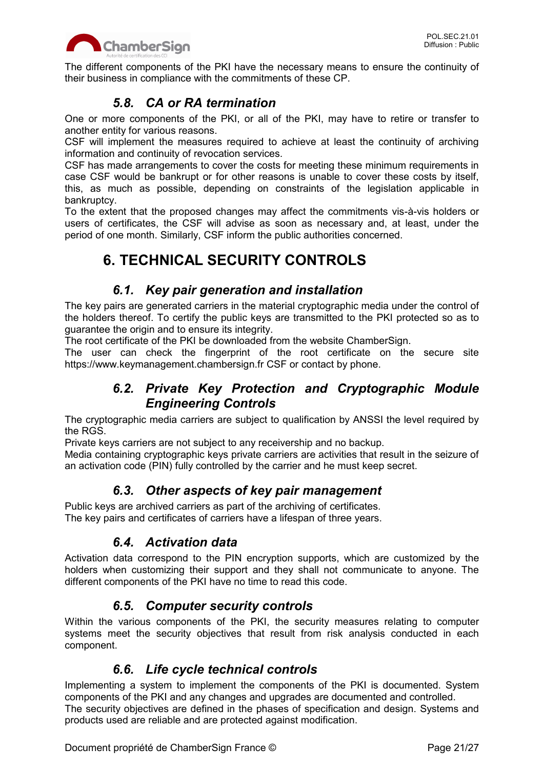

The different components of the PKI have the necessary means to ensure the continuity of their business in compliance with the commitments of these CP.

## *5.8. CA or RA termination*

One or more components of the PKI, or all of the PKI, may have to retire or transfer to another entity for various reasons.

CSF will implement the measures required to achieve at least the continuity of archiving information and continuity of revocation services.

CSF has made arrangements to cover the costs for meeting these minimum requirements in case CSF would be bankrupt or for other reasons is unable to cover these costs by itself, this, as much as possible, depending on constraints of the legislation applicable in bankruptcy.

To the extent that the proposed changes may affect the commitments vis-à-vis holders or users of certificates, the CSF will advise as soon as necessary and, at least, under the period of one month. Similarly, CSF inform the public authorities concerned.

## **6. TECHNICAL SECURITY CONTROLS**

## *6.1. Key pair generation and installation*

The key pairs are generated carriers in the material cryptographic media under the control of the holders thereof. To certify the public keys are transmitted to the PKI protected so as to guarantee the origin and to ensure its integrity.

The root certificate of the PKI be downloaded from the website ChamberSign.

The user can check the fingerprint of the root certificate on the secure site https://www.keymanagement.chambersign.fr CSF or contact by phone.

## *6.2. Private Key Protection and Cryptographic Module Engineering Controls*

The cryptographic media carriers are subject to qualification by ANSSI the level required by the RGS.

Private keys carriers are not subject to any receivership and no backup.

Media containing cryptographic keys private carriers are activities that result in the seizure of an activation code (PIN) fully controlled by the carrier and he must keep secret.

## *6.3. Other aspects of key pair management*

Public keys are archived carriers as part of the archiving of certificates. The key pairs and certificates of carriers have a lifespan of three years.

## *6.4. Activation data*

Activation data correspond to the PIN encryption supports, which are customized by the holders when customizing their support and they shall not communicate to anyone. The different components of the PKI have no time to read this code.

## *6.5. Computer security controls*

Within the various components of the PKI, the security measures relating to computer systems meet the security objectives that result from risk analysis conducted in each component.

## *6.6. Life cycle technical controls*

Implementing a system to implement the components of the PKI is documented. System components of the PKI and any changes and upgrades are documented and controlled. The security objectives are defined in the phases of specification and design. Systems and products used are reliable and are protected against modification.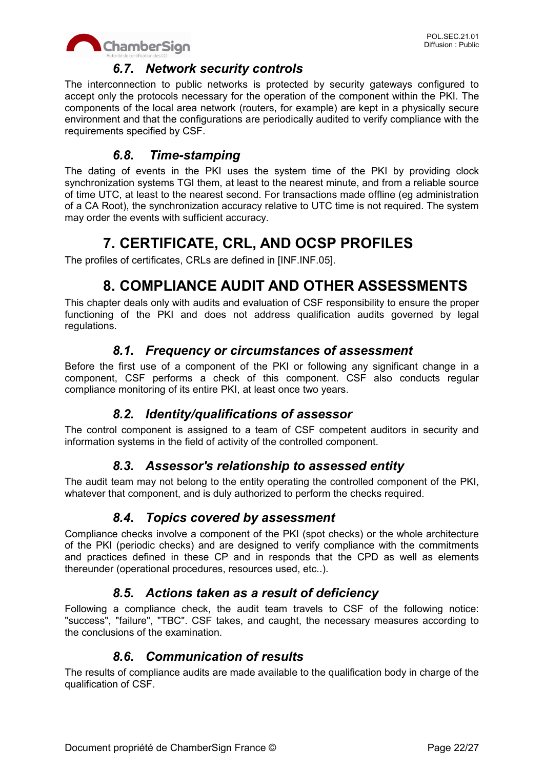

## *6.7. Network security controls*

The interconnection to public networks is protected by security gateways configured to accept only the protocols necessary for the operation of the component within the PKI. The components of the local area network (routers, for example) are kept in a physically secure environment and that the configurations are periodically audited to verify compliance with the requirements specified by CSF.

## *6.8. Time-stamping*

The dating of events in the PKI uses the system time of the PKI by providing clock synchronization systems TGI them, at least to the nearest minute, and from a reliable source of time UTC, at least to the nearest second. For transactions made offline (eg administration of a CA Root), the synchronization accuracy relative to UTC time is not required. The system may order the events with sufficient accuracy.

## **7. CERTIFICATE, CRL, AND OCSP PROFILES**

The profiles of certificates, CRLs are defined in [INF.INF.05].

## **8. COMPLIANCE AUDIT AND OTHER ASSESSMENTS**

This chapter deals only with audits and evaluation of CSF responsibility to ensure the proper functioning of the PKI and does not address qualification audits governed by legal regulations.

## *8.1. Frequency or circumstances of assessment*

Before the first use of a component of the PKI or following any significant change in a component, CSF performs a check of this component. CSF also conducts regular compliance monitoring of its entire PKI, at least once two years.

## *8.2. Identity/qualifications of assessor*

The control component is assigned to a team of CSF competent auditors in security and information systems in the field of activity of the controlled component.

## *8.3. Assessor's relationship to assessed entity*

The audit team may not belong to the entity operating the controlled component of the PKI, whatever that component, and is duly authorized to perform the checks required.

## *8.4. Topics covered by assessment*

Compliance checks involve a component of the PKI (spot checks) or the whole architecture of the PKI (periodic checks) and are designed to verify compliance with the commitments and practices defined in these CP and in responds that the CPD as well as elements thereunder (operational procedures, resources used, etc..).

## *8.5. Actions taken as a result of deficiency*

Following a compliance check, the audit team travels to CSF of the following notice: "success", "failure", "TBC". CSF takes, and caught, the necessary measures according to the conclusions of the examination.

## *8.6. Communication of results*

The results of compliance audits are made available to the qualification body in charge of the qualification of CSF.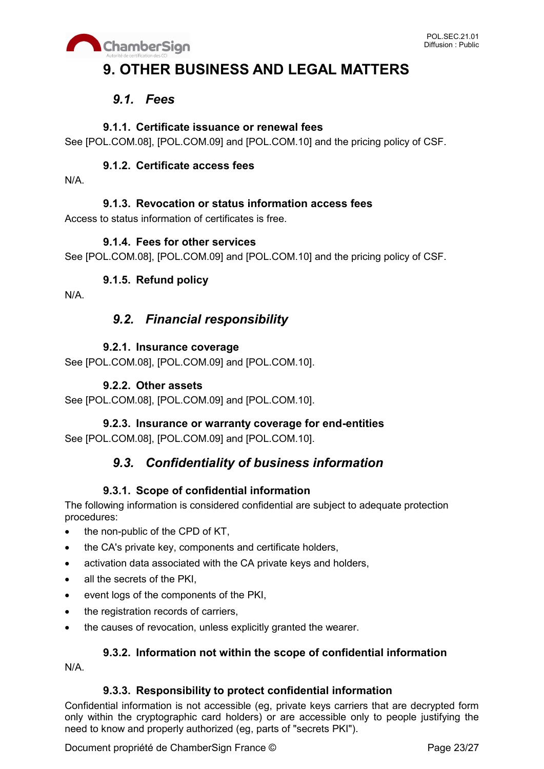

## **9. OTHER BUSINESS AND LEGAL MATTERS**

## *9.1. Fees*

## **9.1.1. Certificate issuance or renewal fees**

See [POL.COM.08], [POL.COM.09] and [POL.COM.10] and the pricing policy of CSF.

## **9.1.2. Certificate access fees**

N/A.

## **9.1.3. Revocation or status information access fees**

Access to status information of certificates is free.

#### **9.1.4. Fees for other services**

See [POL.COM.08], [POL.COM.09] and [POL.COM.10] and the pricing policy of CSF.

## **9.1.5. Refund policy**

N/A.

## *9.2. Financial responsibility*

## **9.2.1. Insurance coverage**

See [POL.COM.08], [POL.COM.09] and [POL.COM.10].

### **9.2.2. Other assets**

See [POL.COM.08], [POL.COM.09] and [POL.COM.10].

## **9.2.3. Insurance or warranty coverage for end-entities**

See [POL.COM.08], [POL.COM.09] and [POL.COM.10].

## *9.3. Confidentiality of business information*

## **9.3.1. Scope of confidential information**

The following information is considered confidential are subject to adequate protection procedures:

- the non-public of the CPD of KT,
- the CA's private key, components and certificate holders,
- activation data associated with the CA private keys and holders,
- all the secrets of the PKI.
- event logs of the components of the PKI,
- the registration records of carriers,
- the causes of revocation, unless explicitly granted the wearer.

## **9.3.2. Information not within the scope of confidential information**

N/A.

#### **9.3.3. Responsibility to protect confidential information**

Confidential information is not accessible (eg, private keys carriers that are decrypted form only within the cryptographic card holders) or are accessible only to people justifying the need to know and properly authorized (eg, parts of "secrets PKI").

Document propriété de ChamberSign France © Page 23/27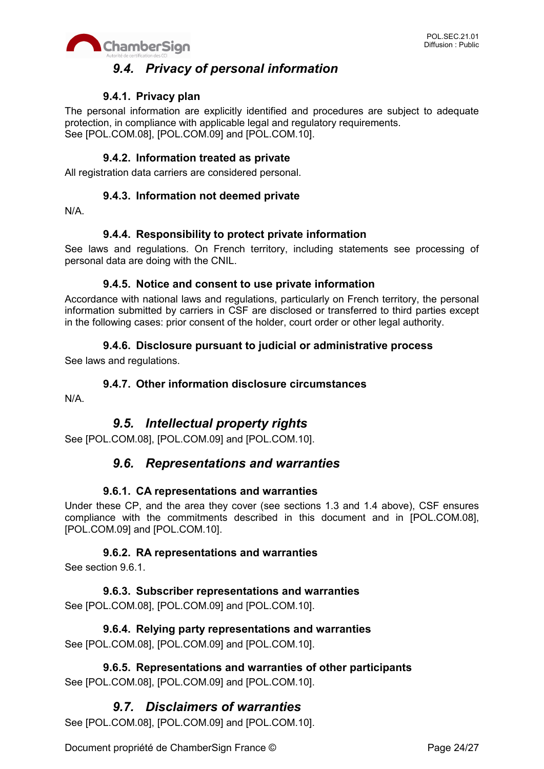

## *9.4. Privacy of personal information*

### **9.4.1. Privacy plan**

The personal information are explicitly identified and procedures are subject to adequate protection, in compliance with applicable legal and regulatory requirements. See [POL.COM.08], [POL.COM.09] and [POL.COM.10].

#### **9.4.2. Information treated as private**

All registration data carriers are considered personal.

#### **9.4.3. Information not deemed private**

N/A.

#### **9.4.4. Responsibility to protect private information**

See laws and regulations. On French territory, including statements see processing of personal data are doing with the CNIL.

#### **9.4.5. Notice and consent to use private information**

Accordance with national laws and regulations, particularly on French territory, the personal information submitted by carriers in CSF are disclosed or transferred to third parties except in the following cases: prior consent of the holder, court order or other legal authority.

#### **9.4.6. Disclosure pursuant to judicial or administrative process**

See laws and regulations.

#### **9.4.7. Other information disclosure circumstances**

N/A.

## *9.5. Intellectual property rights*

See [POL.COM.08], [POL.COM.09] and [POL.COM.10].

## *9.6. Representations and warranties*

#### **9.6.1. CA representations and warranties**

Under these CP, and the area they cover (see sections 1.3 and 1.4 above), CSF ensures compliance with the commitments described in this document and in [POL.COM.08], [POL.COM.09] and [POL.COM.10].

#### **9.6.2. RA representations and warranties**

See section 9.6.1.

**9.6.3. Subscriber representations and warranties** See [POL.COM.08], [POL.COM.09] and [POL.COM.10].

**9.6.4. Relying party representations and warranties** See [POL.COM.08], [POL.COM.09] and [POL.COM.10].

#### **9.6.5. Representations and warranties of other participants** See [POL.COM.08], [POL.COM.09] and [POL.COM.10].

## *9.7. Disclaimers of warranties*

See [POL.COM.08], [POL.COM.09] and [POL.COM.10].

Document propriété de ChamberSign France © Page 24/27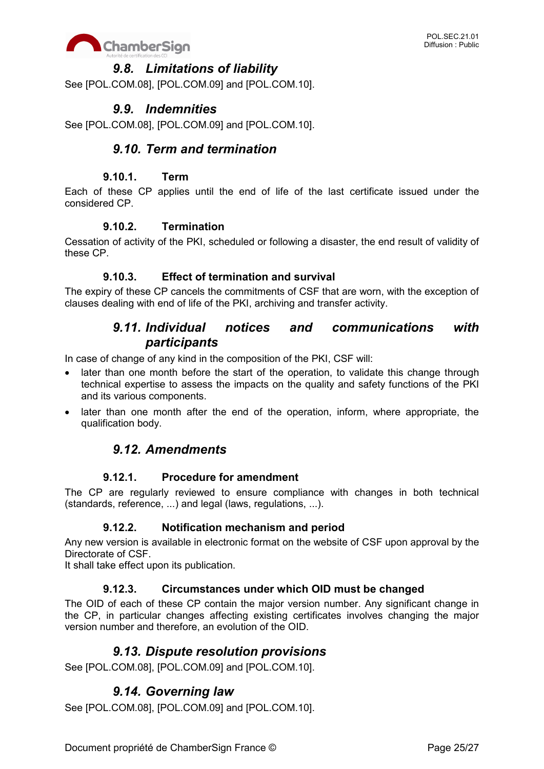

## *9.8. Limitations of liability*

See [POL.COM.08], [POL.COM.09] and [POL.COM.10].

## *9.9. Indemnities*

See [POL.COM.08], [POL.COM.09] and [POL.COM.10].

## *9.10. Term and termination*

#### **9.10.1. Term**

Each of these CP applies until the end of life of the last certificate issued under the considered CP.

#### **9.10.2. Termination**

Cessation of activity of the PKI, scheduled or following a disaster, the end result of validity of these CP.

#### **9.10.3. Effect of termination and survival**

The expiry of these CP cancels the commitments of CSF that are worn, with the exception of clauses dealing with end of life of the PKI, archiving and transfer activity.

## *9.11. Individual notices and communications with participants*

In case of change of any kind in the composition of the PKI, CSF will:

- later than one month before the start of the operation, to validate this change through technical expertise to assess the impacts on the quality and safety functions of the PKI and its various components.
- later than one month after the end of the operation, inform, where appropriate, the qualification body.

## *9.12. Amendments*

#### **9.12.1. Procedure for amendment**

The CP are regularly reviewed to ensure compliance with changes in both technical (standards, reference, ...) and legal (laws, regulations, ...).

#### **9.12.2. Notification mechanism and period**

Any new version is available in electronic format on the website of CSF upon approval by the Directorate of CSF.

It shall take effect upon its publication.

#### **9.12.3. Circumstances under which OID must be changed**

The OID of each of these CP contain the major version number. Any significant change in the CP, in particular changes affecting existing certificates involves changing the major version number and therefore, an evolution of the OID.

## *9.13. Dispute resolution provisions*

See [POL.COM.08], [POL.COM.09] and [POL.COM.10].

## *9.14. Governing law*

See [POL.COM.08], [POL.COM.09] and [POL.COM.10].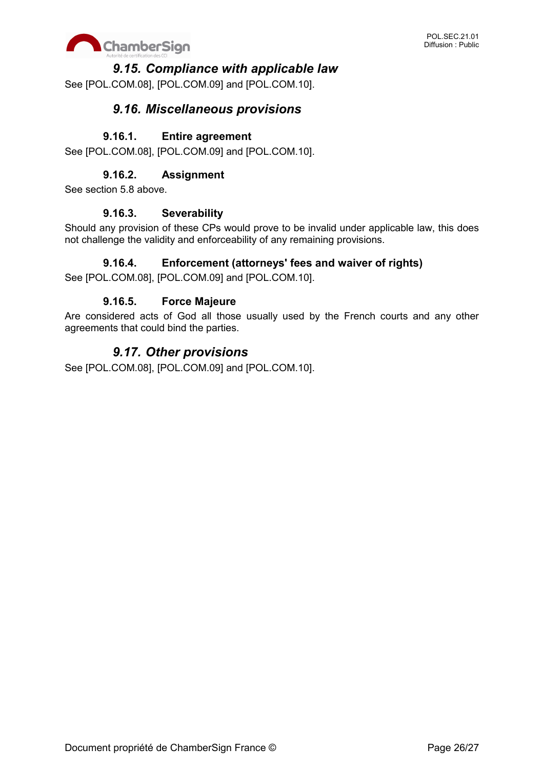

## *9.15. Compliance with applicable law*

See [POL.COM.08], [POL.COM.09] and [POL.COM.10].

## *9.16. Miscellaneous provisions*

#### **9.16.1. Entire agreement**

See [POL.COM.08], [POL.COM.09] and [POL.COM.10].

### **9.16.2. Assignment**

See section 5.8 above.

#### **9.16.3. Severability**

Should any provision of these CPs would prove to be invalid under applicable law, this does not challenge the validity and enforceability of any remaining provisions.

#### **9.16.4. Enforcement (attorneys' fees and waiver of rights)**

See [POL.COM.08], [POL.COM.09] and [POL.COM.10].

#### **9.16.5. Force Majeure**

Are considered acts of God all those usually used by the French courts and any other agreements that could bind the parties.

## *9.17. Other provisions*

See [POL.COM.08], [POL.COM.09] and [POL.COM.10].